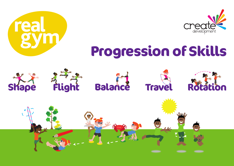





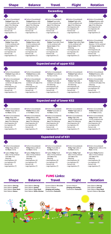# **Shape**

#### **Shape Balance**

**Balance**

**Flight**

# **Flight**

**Travel**



**Rotation**

# **Rotation**

**• Perform (Consolidated)** Trickiest Shape skills (1/2/3) combined with one of the following: - Hand Apparatus (4) - Low Apparatus (5) - Partner/s (6)

**• Perform (Consolidated)** Trickier Shape skills (1/2/3) combined with two or more of the following:

- Large Apparatus (7)

- Hand Apparatus (4)

**• Perform (Consolidated)** Trickiest Balance skills (1/2/3) combined with one of the following: - Hand Apparatus (4) - Low Apparatus (5) - Partner/s (6)

- Low Apparatus (5)
- Partner/s (6)
- Large Apparatus (7)
- **Perform (Consolidated)** Trickier Balance skills (1/2/3) combined with two or more of the following:
- **Perform (Consolidated)** Trickiest Travel skills (1/2/3) combined with one of the following:
- Hand Apparatus (4) - Low Apparatus (5)
- Partner/s (6)
- Large Apparatus (7)



- Large Apparatus (7)

- 
- **Perform (Consolidated)** Trickier Shape skills on the **floor**  $(1/2/3)$ .
- **Perform (Consolidated) Tricky** Shape skills
- **Perform (Consolidated)** Trickier Balance skills on the **floor**  $(1/2/3)$ .
- **Perform (Consolidated) Tricky Balance skills**
- **Perform (Consolidated)** Trickier Travel skills on the floor (1/2/3).

- **Perform (Consolidated)** 
	- **Tricky** Shape skills on the floor (1/2/3).
	- **Explore Tricky Shape** skills (1/2/3) combined with one of the following:
	- Hand Apparatus (4)
	- Low Apparatus (5)
	- Partner/s (6)
	- Large Apparatus (7)
- **Perform (Consolidated) Tricky Balance skills on** the floor (1/2/3).
- Explore Tricky Balance skills (1/2/3) combined with **one** of the following:
- Hand Apparatus (4) - Low Apparatus (5)
- Partner/s (6)
- Large Apparatus (7)
- **Perform (Consolidated) Tricky** Travel skills on the floor (1/2/3).

- Hand Apparatus (4)

- 
- 
- 
- 
- 
- **Perform (Consolidated)** Trickier Flight skills (Flight 1/2/3) combined with two or more of the following:
- Hand Apparatus (4)
- Low Apparatus (5)
- Partner/s (6)
- Large Apparatus (7)

**• Perform (Consolidated)** Trickiest Rotation skills (1/2/3) combined with one of the following:

- **Explore Tricky Travel** skills (1/2/3) combined with **one** of the following:
- Hand Apparatus (4)
- Low Apparatus (5)
- Partner/s (6)
- Large Apparatus (7)
- **Perform (Consolidated)** Tricky Flight skills on the floor (1/2/3).
- **Explore Tricky Flight** skills (1/2/3) combined with **one** of the following:
- Hand Apparatus (4)
- Low Apparatus (5)
- Partner/s (6)
- Large Apparatus (7)

#### **• Perform (Consolidated) Tricky Rotation skills on the** floor (1/2/3).

- **Explore Tricky Rotation** skills (1/2/3) combined with **one** of the following:
- Hand Apparatus (4)
- Low Apparatus (5)
- Partner/s (6)
- Large Apparatus (7)

Static Balance: One Leg Static Balance: Seated Static Balance: Floor Work Static Balance: Stance

Static Balance: One Leg Static Balance: Seated Static Balance: Floor Work Static Balance: With a Partner Static Balance: One Leg Static Balance: Seated Static Balance: Floor Work Dynamic Balance: On a Line



## **Travel FUNS Links:**

- (1/2/3) combined with one of the following:
- Hand Apparatus (4)
- Low Apparatus (5)
- Partner/s (6)
- Large Apparatus (7)
- (1/2/3) combined with one of the following:
- Hand Apparatus (4) - Low Apparatus (5)
- Partner/s (6)
- Large Apparatus (7)
- Hand Apparatus (4)
- Low Apparatus (5)
- Partner/s (6)
- Large Apparatus (7)
- Hand Apparatus (4)
- Low Apparatus (5)
- Partner/s (6)
- Large Apparatus (7)
- Hand Apparatus (4)
- Low Apparatus (5)
	- Partner/s (6)
- Large Apparatus (7)
- Low Apparatus (5)
- Partner/s (6) - Large Apparatus (7)
- 
- **Perform (Consolidated)** Trickier Travel skills (Travel 1/2/3) combined with two or more of the following: - Hand Apparatus (4)
- Low Apparatus (5)
- Partner/s (6)
- Large Apparatus (7)
- **Expected end of upper KS2**
- **Perform (Consolidated)** Trickiest Shape skills on the floor (1/2/3).
	- **Perform (Consolidated)** Trickier Shape skills combined with one of the following:
	- Hand Apparatus (4)
	- Low Apparatus (5)
	- Partner/s (6)
	- Large Apparatus (7)
- **Perform (Consolidated)** Trickiest Balance skills on the floor (1/2/3).
- **Perform (Consolidated)** Trickier Balance skills combined with one of the following:
- Hand Apparatus (4)
- Low Apparatus (5)
- Partner/s (6)
- Large Apparatus (7)
- **Perform (Consolidated)** Trickiest Travel skills on the floor (1/2/3).
- **Perform (Consolidated)** Trickier Travel skills combined with one of the following:
- Hand Apparatus (4)
- Low Apparatus (5)
- Partner/s (6)
- Large Apparatus (7)
- **Perform (Consolidated)** Trickiest Flight skills on the floor (1/2/3).
- **Perform (Consolidated)** Trickier Flight skills combined with one of the following:
- Hand Apparatus (4)
- Low Apparatus (5)
- Partner/s (6)
- Large Apparatus (7)
- **Perform (Consolidated)** Trickiest Rotation skills on the floor (1/2/3).
- **Perform (Consolidated)** Trickier Rotation skills combined with one of the following:
- Hand Apparatus (4)
- Low Apparatus (5)
- Partner/s (6)
- Large Apparatus (7)
- Hand Apparatus (4)
- Low Apparatus (5)
- Partner/s (6)
- Large Apparatus (7)
- Hand Apparatus (4)
- Low Apparatus (5)
- Partner/s (6)
- Large Apparatus (7)
- 
- **Perform (Consolidated)** Trickier Rotation skills (Rotation 1/2/3) combined with **two or more** of the following:
- Hand Apparatus (4)
- Low Apparatus (5)
- Partner/s (6)
- Large Apparatus (7)



**Expected end of lower KS2**

- **Perform (Consolidated) Tricky Travel skills** (1/2/3) combined with one of the following:
- **Perform (Consolidated)** Trickier Flight skills on the floor (1/2/3).
- **Perform (Consolidated)** Tricky Flight skills (1/2/3) combined with one of the following:
- **Perform (Consolidated)** Trickier Rotation skills on the floor (1/2/3).
- **Perform (Consolidated) Tricky Rotation skills** (1/2/3) combined with one of the following:





**• Perform (Consolidated)** Trickiest Flight skills (1/2/3) combined with one of the following:

**Expected end of KS1**

### **Exceeding**

Dynamic Balance: On a Line

Dynamic Balance: Jumping and Landing Coordination: Footwork Dynamic Balance: Jumping and Landing Coordination: Footwork